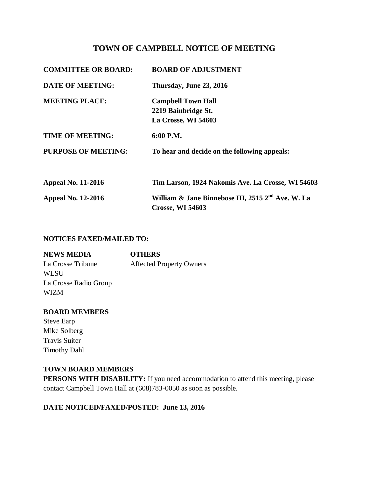# **TOWN OF CAMPBELL NOTICE OF MEETING**

| <b>COMMITTEE OR BOARD:</b> | <b>BOARD OF ADJUSTMENT</b>                                                               |
|----------------------------|------------------------------------------------------------------------------------------|
| <b>DATE OF MEETING:</b>    | Thursday, June 23, 2016                                                                  |
| <b>MEETING PLACE:</b>      | <b>Campbell Town Hall</b>                                                                |
|                            | 2219 Bainbridge St.                                                                      |
|                            | La Crosse, WI 54603                                                                      |
| <b>TIME OF MEETING:</b>    | 6:00 P.M.                                                                                |
| <b>PURPOSE OF MEETING:</b> | To hear and decide on the following appeals:                                             |
| <b>Appeal No. 11-2016</b>  | Tim Larson, 1924 Nakomis Ave. La Crosse, WI 54603                                        |
| <b>Appeal No. 12-2016</b>  | William & Jane Binnebose III, 2515 2 <sup>nd</sup> Ave. W. La<br><b>Crosse, WI 54603</b> |

## **NOTICES FAXED/MAILED TO:**

| <b>NEWS MEDIA</b>     | <b>OTHERS</b>                   |
|-----------------------|---------------------------------|
| La Crosse Tribune     | <b>Affected Property Owners</b> |
| WL SU                 |                                 |
| La Crosse Radio Group |                                 |
| WIZM                  |                                 |

## **BOARD MEMBERS**

Steve Earp Mike Solberg Travis Suiter Timothy Dahl

#### **TOWN BOARD MEMBERS**

**PERSONS WITH DISABILITY:** If you need accommodation to attend this meeting, please contact Campbell Town Hall at (608)783-0050 as soon as possible.

# **DATE NOTICED/FAXED/POSTED: June 13, 2016**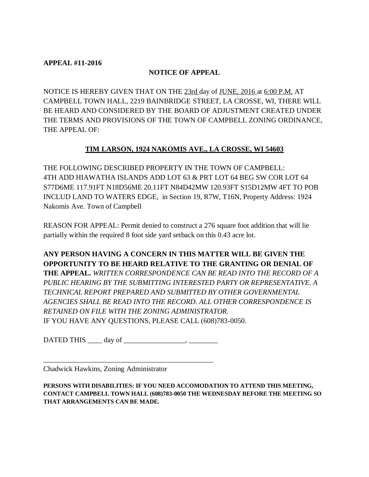## **APPEAL #11-2016**

## **NOTICE OF APPEAL**

NOTICE IS HEREBY GIVEN THAT ON THE 23rd day of JUNE, 2016 at 6:00 P.M. AT CAMPBELL TOWN HALL, 2219 BAINBRIDGE STREET, LA CROSSE, WI, THERE WILL BE HEARD AND CONSIDERED BY THE BOARD OF ADJUSTMENT CREATED UNDER THE TERMS AND PROVISIONS OF THE TOWN OF CAMPBELL ZONING ORDINANCE, THE APPEAL OF:

# **TIM LARSON, 1924 NAKOMIS AVE., LA CROSSE, WI 54603**

THE FOLLOWING DESCRIBED PROPERTY IN THE TOWN OF CAMPBELL: 4TH ADD HIAWATHA ISLANDS ADD LOT 63 & PRT LOT 64 BEG SW COR LOT 64 S77D6ME 117.91FT N18D56ME 20.11FT N84D42MW 120.93FT S15D12MW 4FT TO POB INCLUD LAND TO WATERS EDGE, in Section 19, R7W, T16N, Property Address: 1924 Nakomis Ave. Town of Campbell

REASON FOR APPEAL: Permit denied to construct a 276 square foot addition that will lie partially within the required 8 foot side yard setback on this 0.43 acre lot.

**ANY PERSON HAVING A CONCERN IN THIS MATTER WILL BE GIVEN THE OPPORTUNITY TO BE HEARD RELATIVE TO THE GRANTING OR DENIAL OF THE APPEAL.** *WRITTEN CORRESPONDENCE CAN BE READ INTO THE RECORD OF A PUBLIC HEARING BY THE SUBMITTING INTERESTED PARTY OR REPRESENTATIVE. A TECHNICAL REPORT PREPARED AND SUBMITTED BY OTHER GOVERNMENTAL AGENCIES SHALL BE READ INTO THE RECORD. ALL OTHER CORRESPONDENCE IS RETAINED ON FILE WITH THE ZONING ADMINISTRATOR.*  IF YOU HAVE ANY QUESTIONS, PLEASE CALL (608)783-0050.

DATED THIS \_\_\_\_ day of \_\_\_\_\_\_\_\_\_\_\_\_\_\_\_\_\_, \_\_\_\_\_\_\_\_

\_\_\_\_\_\_\_\_\_\_\_\_\_\_\_\_\_\_\_\_\_\_\_\_\_\_\_\_\_\_\_\_\_\_\_\_\_\_\_\_\_\_\_\_\_\_\_

Chadwick Hawkins, Zoning Administrator

**PERSONS WITH DISABILITIES: IF YOU NEED ACCOMODATION TO ATTEND THIS MEETING, CONTACT CAMPBELL TOWN HALL (608)783-0050 THE WEDNESDAY BEFORE THE MEETING SO THAT ARRANGEMENTS CAN BE MADE.**